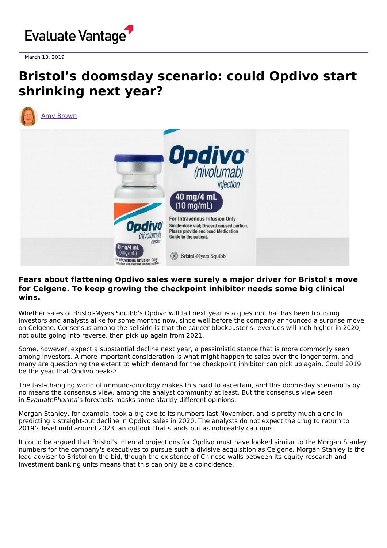

March 13, 2019

# **Bristol's doomsday scenario: could Opdivo start shrinking next year?**



# **Fears about flattening Opdivo sales were surely a major driver for Bristol's move for Celgene. To keep growing the checkpoint inhibitor needs some big clinical wins.**

Whether sales of Bristol-Myers Squibb's Opdivo will fall next year is a question that has been troubling investors and analysts alike for some months now, since well before the company announced a surprise move on Celgene. Consensus among the sellside is that the cancer blockbuster's revenues will inch higher in 2020, not quite going into reverse, then pick up again from 2021.

Some, however, expect a substantial decline next year, a pessimistic stance that is more commonly seen among investors. A more important consideration is what might happen to sales over the longer term, and many are questioning the extent to which demand for the checkpoint inhibitor can pick up again. Could 2019 be the year that Opdivo peaks?

The fast-changing world of immuno-oncology makes this hard to ascertain, and this doomsday scenario is by no means the consensus view, among the analyst community at least. But the consensus view seen in EvaluatePharma's forecasts masks some starkly different opinions.

Morgan Stanley, for example, took a big axe to its numbers last November, and is pretty much alone in predicting a straight-out decline in Opdivo sales in 2020. The analysts do not expect the drug to return to 2019's level until around 2023, an outlook that stands out as noticeably cautious.

It could be argued that Bristol's internal projections for Opdivo must have looked similar to the Morgan Stanley numbers for the company's executives to pursue such a divisive acquisition as Celgene. Morgan Stanley is the lead adviser to Bristol on the bid, though the existence of Chinese walls between its equity research and investment banking units means that this can only be a coincidence.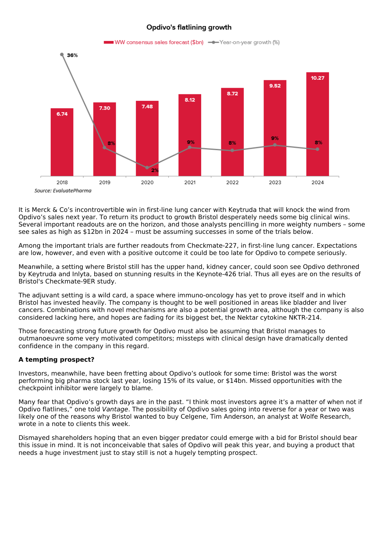#### Opdivo's flatlining growth



It is Merck & Co's incontrovertible win in first-line lung cancer with Keytruda that will knock the wind from Opdivo's sales next year. To return its product to growth Bristol desperately needs some big clinical wins. Several important readouts are on the horizon, and those analysts pencilling in more weighty numbers – some see sales as high as \$12bn in 2024 – must be assuming successes in some of the trials below.

Among the important trials are further readouts from Checkmate-227, in first-line lung cancer. Expectations are low, however, and even with a positive outcome it could be too late for Opdivo to compete seriously.

Meanwhile, a setting where Bristol still has the upper hand, kidney cancer, could soon see Opdivo dethroned by Keytruda and Inlyta, based on stunning results in the Keynote-426 trial. Thus all eyes are on the results of Bristol's Checkmate-9ER study.

The adjuvant setting is a wild card, a space where immuno-oncology has yet to prove itself and in which Bristol has invested heavily. The company is thought to be well positioned in areas like bladder and liver cancers. Combinations with novel mechanisms are also a potential growth area, although the company is also considered lacking here, and hopes are fading for its biggest bet, the Nektar cytokine NKTR-214.

Those forecasting strong future growth for Opdivo must also be assuming that Bristol manages to outmanoeuvre some very motivated competitors; missteps with clinical design have dramatically dented confidence in the company in this regard.

### **A tempting prospect?**

Investors, meanwhile, have been fretting about Opdivo's outlook for some time: Bristol was the worst performing big pharma stock last year, losing 15% of its value, or \$14bn. Missed opportunities with the checkpoint inhibitor were largely to blame.

Many fear that Opdivo's growth days are in the past. "I think most investors agree it's a matter of when not if Opdivo flatlines," one told Vantage. The possibility of Opdivo sales going into reverse for a year or two was likely one of the reasons why Bristol wanted to buy Celgene, Tim Anderson, an analyst at Wolfe Research, wrote in a note to clients this week.

Dismayed shareholders hoping that an even bigger predator could emerge with a bid for Bristol should bear this issue in mind. It is not inconceivable that sales of Opdivo will peak this year, and buying a product that needs a huge investment just to stay still is not a hugely tempting prospect.